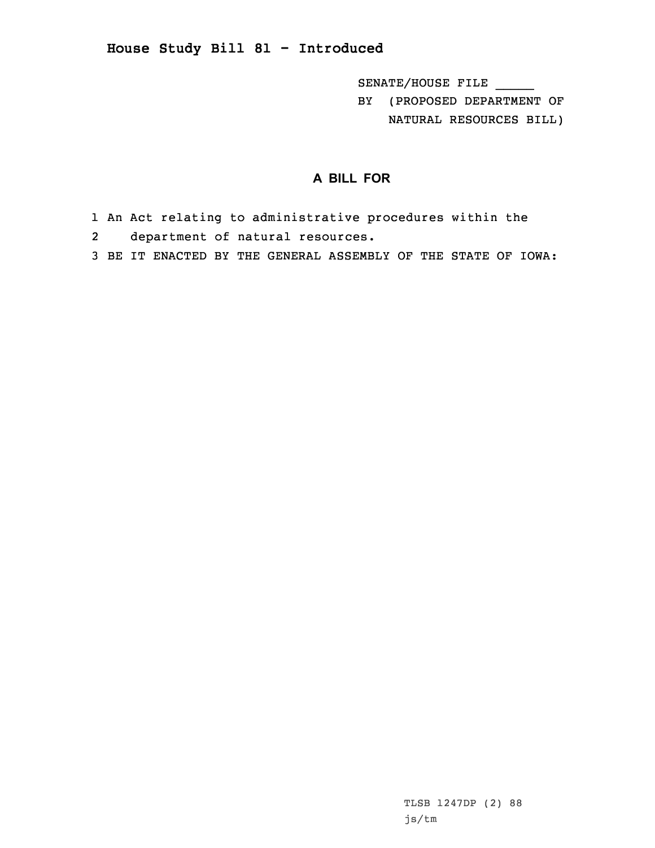## **House Study Bill 81 - Introduced**

SENATE/HOUSE FILE \_\_\_\_\_

BY (PROPOSED DEPARTMENT OF NATURAL RESOURCES BILL)

## **A BILL FOR**

- 1 An Act relating to administrative procedures within the
- 2 department of natural resources.
- 3 BE IT ENACTED BY THE GENERAL ASSEMBLY OF THE STATE OF IOWA: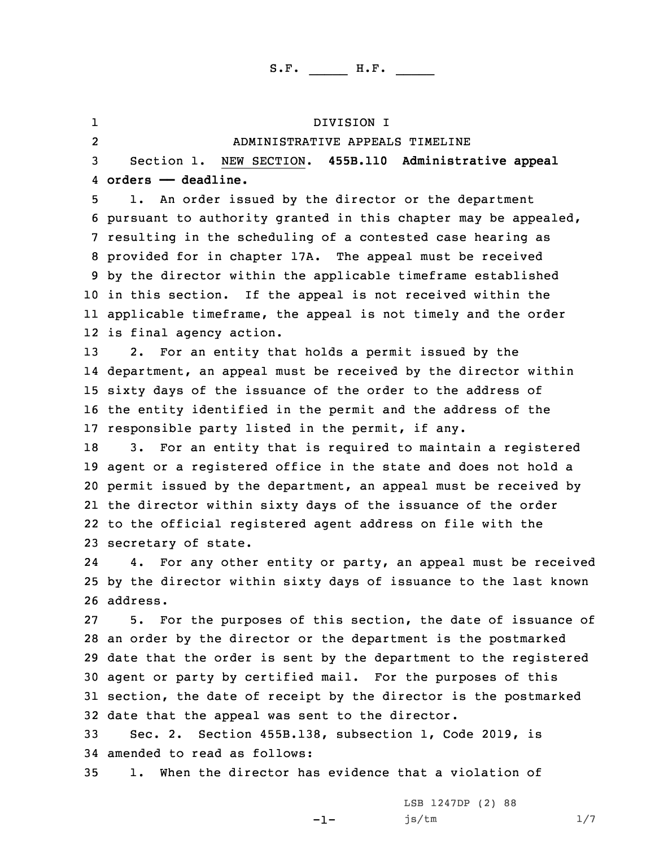1 DIVISION I 2 ADMINISTRATIVE APPEALS TIMELINE Section 1. NEW SECTION. **455B.110 Administrative appeal orders —— deadline.** 1. An order issued by the director or the department pursuant to authority granted in this chapter may be appealed, resulting in the scheduling of <sup>a</sup> contested case hearing as provided for in chapter 17A. The appeal must be received by the director within the applicable timeframe established in this section. If the appeal is not received within the applicable timeframe, the appeal is not timely and the order is final agency action. 2. For an entity that holds <sup>a</sup> permit issued by the department, an appeal must be received by the director within sixty days of the issuance of the order to the address of the entity identified in the permit and the address of the responsible party listed in the permit, if any. 3. For an entity that is required to maintain <sup>a</sup> registered agent or <sup>a</sup> registered office in the state and does not hold <sup>a</sup> permit issued by the department, an appeal must be received by the director within sixty days of the issuance of the order to the official registered agent address on file with the secretary of state. 24 4. For any other entity or party, an appeal must be received by the director within sixty days of issuance to the last known 26 address. 5. For the purposes of this section, the date of issuance of an order by the director or the department is the postmarked date that the order is sent by the department to the registered agent or party by certified mail. For the purposes of this section, the date of receipt by the director is the postmarked date that the appeal was sent to the director. Sec. 2. Section 455B.138, subsection 1, Code 2019, is amended to read as follows: 1. When the director has evidence that <sup>a</sup> violation of

 $-1-$ 

LSB 1247DP (2) 88 js/tm 1/7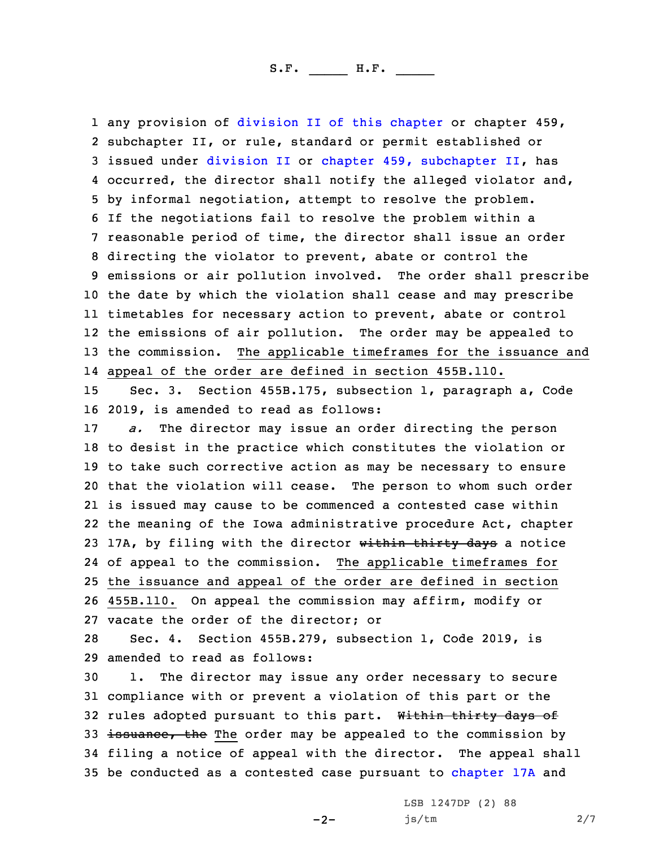any provision of division II of this [chapter](https://www.legis.iowa.gov/docs/code/2019/455B.pdf) or chapter 459, subchapter II, or rule, standard or permit established or issued under [division](https://www.legis.iowa.gov/docs/code/2019/455B.pdf) II or chapter 459, [subchapter](https://www.legis.iowa.gov/docs/code/2019/459.pdf) II, has occurred, the director shall notify the alleged violator and, by informal negotiation, attempt to resolve the problem. If the negotiations fail to resolve the problem within <sup>a</sup> reasonable period of time, the director shall issue an order directing the violator to prevent, abate or control the emissions or air pollution involved. The order shall prescribe the date by which the violation shall cease and may prescribe timetables for necessary action to prevent, abate or control the emissions of air pollution. The order may be appealed to the commission. The applicable timeframes for the issuance and appeal of the order are defined in section 455B.110.

15 Sec. 3. Section 455B.175, subsection 1, paragraph a, Code 16 2019, is amended to read as follows:

 *a.* The director may issue an order directing the person to desist in the practice which constitutes the violation or to take such corrective action as may be necessary to ensure that the violation will cease. The person to whom such order is issued may cause to be commenced <sup>a</sup> contested case within the meaning of the Iowa administrative procedure Act, chapter 23 17A, by filing with the director within thirty days a notice of appeal to the commission. The applicable timeframes for the issuance and appeal of the order are defined in section 455B.110. On appeal the commission may affirm, modify or vacate the order of the director; or

28 Sec. 4. Section 455B.279, subsection 1, Code 2019, is 29 amended to read as follows:

30 1. The director may issue any order necessary to secure 31 compliance with or prevent <sup>a</sup> violation of this part or the 32 rules adopted pursuant to this part. Within thirty days of 33 issuance, the The order may be appealed to the commission by 34 filing <sup>a</sup> notice of appeal with the director. The appeal shall 35 be conducted as a contested case pursuant to [chapter](https://www.legis.iowa.gov/docs/code/2019/17A.pdf) 17A and

 $-2-$ 

LSB 1247DP (2) 88 js/tm 2/7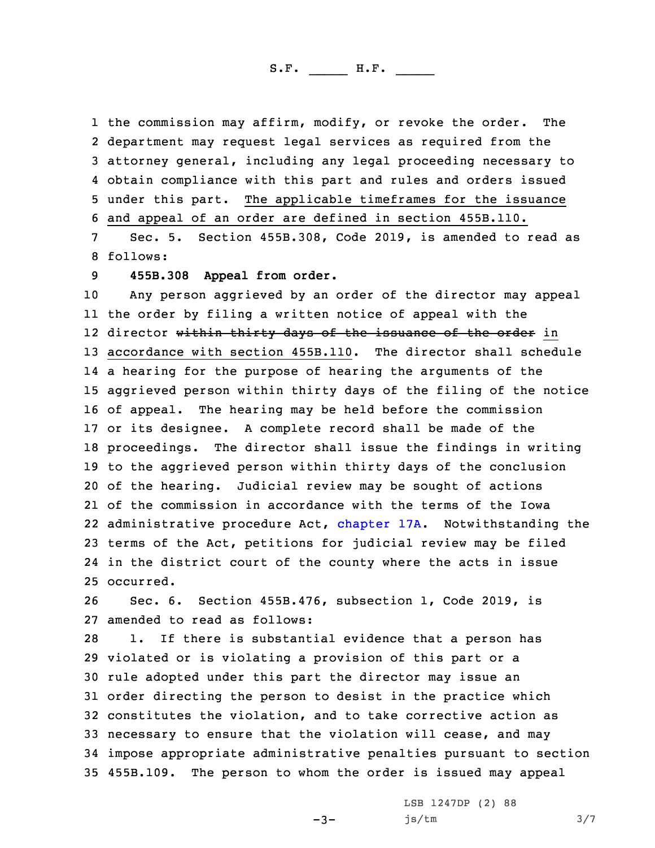the commission may affirm, modify, or revoke the order. The department may request legal services as required from the attorney general, including any legal proceeding necessary to obtain compliance with this part and rules and orders issued under this part. The applicable timeframes for the issuance and appeal of an order are defined in section 455B.110.

7 Sec. 5. Section 455B.308, Code 2019, is amended to read as 8 follows:

9 **455B.308 Appeal from order.**

 Any person aggrieved by an order of the director may appeal the order by filing <sup>a</sup> written notice of appeal with the 12 director <del>within thirty days of the issuance of the order</del> in accordance with section 455B.110. The director shall schedule <sup>a</sup> hearing for the purpose of hearing the arguments of the aggrieved person within thirty days of the filing of the notice of appeal. The hearing may be held before the commission or its designee. <sup>A</sup> complete record shall be made of the proceedings. The director shall issue the findings in writing to the aggrieved person within thirty days of the conclusion of the hearing. Judicial review may be sought of actions of the commission in accordance with the terms of the Iowa administrative procedure Act, [chapter](https://www.legis.iowa.gov/docs/code/2019/17A.pdf) 17A. Notwithstanding the terms of the Act, petitions for judicial review may be filed in the district court of the county where the acts in issue occurred.

26 Sec. 6. Section 455B.476, subsection 1, Code 2019, is 27 amended to read as follows:

 1. If there is substantial evidence that <sup>a</sup> person has violated or is violating <sup>a</sup> provision of this part or <sup>a</sup> rule adopted under this part the director may issue an order directing the person to desist in the practice which constitutes the violation, and to take corrective action as necessary to ensure that the violation will cease, and may impose appropriate administrative penalties pursuant to section 455B.109. The person to whom the order is issued may appeal

 $-3-$ 

LSB 1247DP (2) 88 js/tm 3/7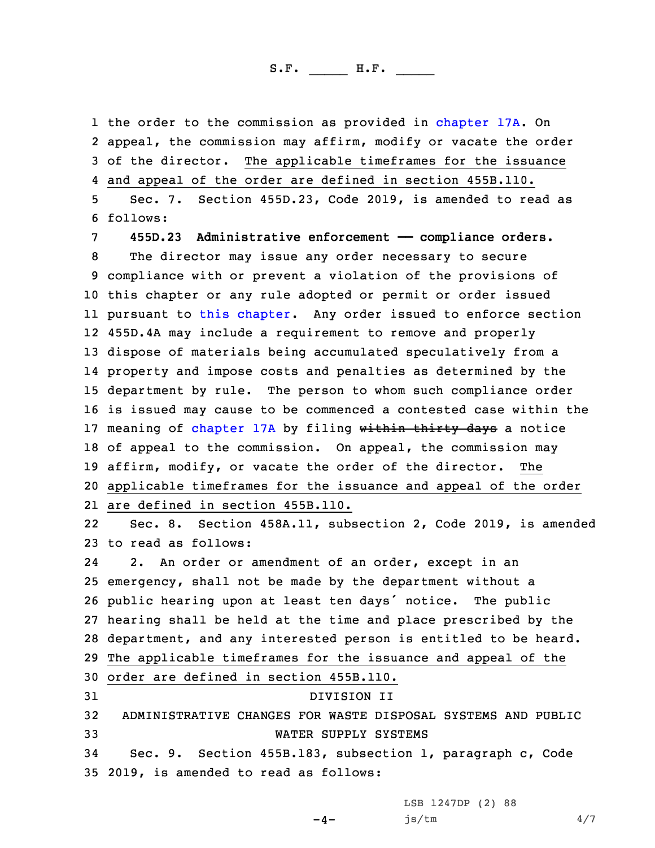the order to the commission as provided in [chapter](https://www.legis.iowa.gov/docs/code/2019/17A.pdf) 17A. On appeal, the commission may affirm, modify or vacate the order of the director. The applicable timeframes for the issuance and appeal of the order are defined in section 455B.110. Sec. 7. Section 455D.23, Code 2019, is amended to read as

6 follows:

 **455D.23 Administrative enforcement —— compliance orders.** The director may issue any order necessary to secure compliance with or prevent <sup>a</sup> violation of the provisions of this chapter or any rule adopted or permit or order issued pursuant to this [chapter](https://www.legis.iowa.gov/docs/code/2019/455D.pdf). Any order issued to enforce section 455D.4A may include <sup>a</sup> requirement to remove and properly dispose of materials being accumulated speculatively from <sup>a</sup> property and impose costs and penalties as determined by the department by rule. The person to whom such compliance order is issued may cause to be commenced <sup>a</sup> contested case within the 17 meaning of [chapter](https://www.legis.iowa.gov/docs/code/2019/17A.pdf) 17A by filing within thirty days a notice 18 of appeal to the commission. On appeal, the commission may affirm, modify, or vacate the order of the director. The applicable timeframes for the issuance and appeal of the order are defined in section 455B.110.

22 Sec. 8. Section 458A.11, subsection 2, Code 2019, is amended 23 to read as follows:

24 2. An order or amendment of an order, except in an emergency, shall not be made by the department without <sup>a</sup> public hearing upon at least ten days' notice. The public hearing shall be held at the time and place prescribed by the department, and any interested person is entitled to be heard. The applicable timeframes for the issuance and appeal of the order are defined in section 455B.110. DIVISION II ADMINISTRATIVE CHANGES FOR WASTE DISPOSAL SYSTEMS AND PUBLIC WATER SUPPLY SYSTEMS Sec. 9. Section 455B.183, subsection 1, paragraph c, Code 2019, is amended to read as follows:

LSB 1247DP (2) 88

js/tm 4/7

 $-4-$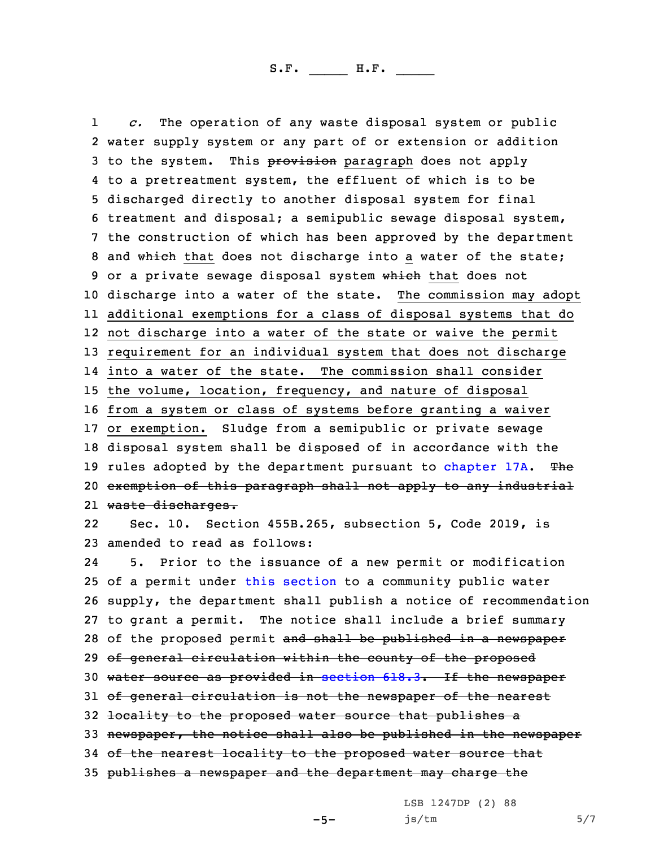1 *c.* The operation of any waste disposal system or public water supply system or any part of or extension or addition 3 to the system. This provision paragraph does not apply to <sup>a</sup> pretreatment system, the effluent of which is to be discharged directly to another disposal system for final treatment and disposal; <sup>a</sup> semipublic sewage disposal system, the construction of which has been approved by the department 8 and which that does not discharge into a water of the state; 9 or a private sewage disposal system which that does not discharge into <sup>a</sup> water of the state. The commission may adopt additional exemptions for <sup>a</sup> class of disposal systems that do not discharge into <sup>a</sup> water of the state or waive the permit requirement for an individual system that does not discharge into <sup>a</sup> water of the state. The commission shall consider the volume, location, frequency, and nature of disposal from <sup>a</sup> system or class of systems before granting <sup>a</sup> waiver or exemption. Sludge from <sup>a</sup> semipublic or private sewage disposal system shall be disposed of in accordance with the 19 rules adopted by the department pursuant to [chapter](https://www.legis.iowa.gov/docs/code/2019/17A.pdf) 17A. The exemption of this paragraph shall not apply to any industrial waste discharges. 22 Sec. 10. Section 455B.265, subsection 5, Code 2019, is amended to read as follows:

24 5. Prior to the issuance of <sup>a</sup> new permit or modification 25 of <sup>a</sup> permit under this [section](https://www.legis.iowa.gov/docs/code/2019/455B.265.pdf) to <sup>a</sup> community public water 26 supply, the department shall publish <sup>a</sup> notice of recommendation 27 to grant <sup>a</sup> permit. The notice shall include <sup>a</sup> brief summary 28 of the proposed permit and shall be published in a newspaper 29 of general circulation within the county of the proposed 30 water source as provided in [section](https://www.legis.iowa.gov/docs/code/2019/618.3.pdf) 618.3. If the newspaper 31 of general circulation is not the newspaper of the nearest 32 locality to the proposed water source that publishes a 33 newspaper, the notice shall also be published in the newspaper 34 of the nearest locality to the proposed water source that 35 publishes <sup>a</sup> newspaper and the department may charge the

LSB 1247DP (2) 88

 $-5-$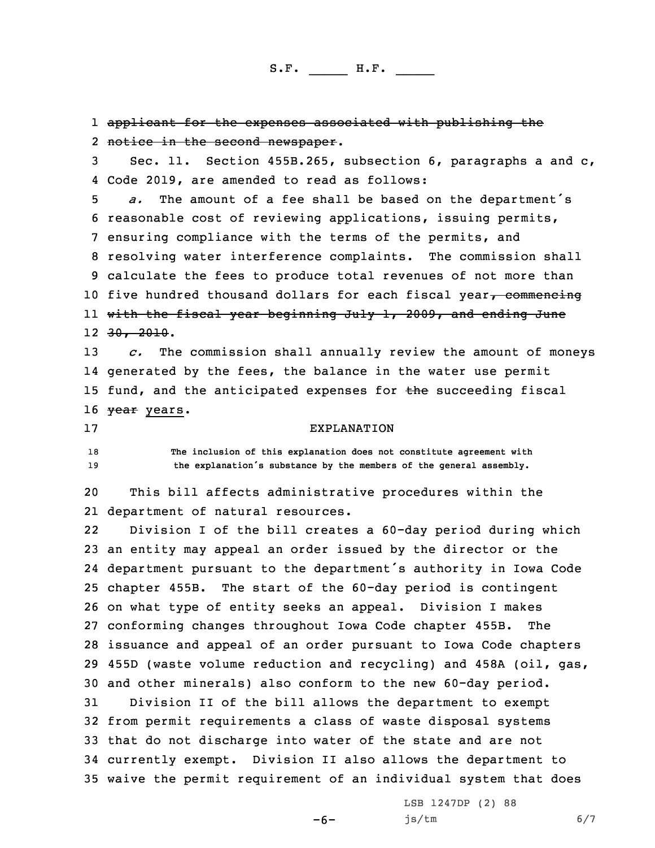applicant for the expenses associated with publishing the notice in the second newspaper. Sec. 11. Section 455B.265, subsection 6, paragraphs <sup>a</sup> and c, Code 2019, are amended to read as follows: *a.* The amount of <sup>a</sup> fee shall be based on the department's reasonable cost of reviewing applications, issuing permits, ensuring compliance with the terms of the permits, and resolving water interference complaints. The commission shall calculate the fees to produce total revenues of not more than 10 five hundred thousand dollars for each fiscal year $\tau$  commencing with the fiscal year beginning July 1, 2009, and ending June 30, 2010. *c.* The commission shall annually review the amount of moneys generated by the fees, the balance in the water use permit 15 fund, and the anticipated expenses for the succeeding fiscal 16 <del>year</del> years. EXPLANATION **The inclusion of this explanation does not constitute agreement with the explanation's substance by the members of the general assembly.** This bill affects administrative procedures within the department of natural resources. 22 Division <sup>I</sup> of the bill creates <sup>a</sup> 60-day period during which an entity may appeal an order issued by the director or the department pursuant to the department's authority in Iowa Code chapter 455B. The start of the 60-day period is contingent on what type of entity seeks an appeal. Division <sup>I</sup> makes conforming changes throughout Iowa Code chapter 455B. The issuance and appeal of an order pursuant to Iowa Code chapters 455D (waste volume reduction and recycling) and 458A (oil, gas, and other minerals) also conform to the new 60-day period. Division II of the bill allows the department to exempt from permit requirements <sup>a</sup> class of waste disposal systems that do not discharge into water of the state and are not currently exempt. Division II also allows the department to waive the permit requirement of an individual system that does

 $-6-$ 

LSB 1247DP (2) 88 js/tm 6/7